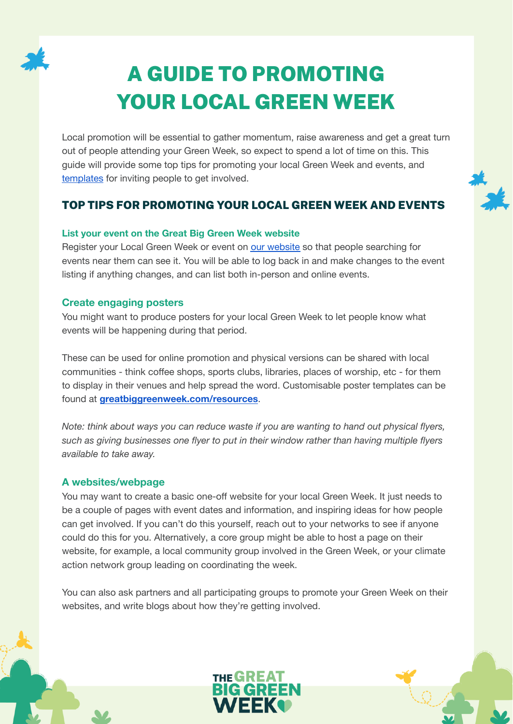

# A GUIDE TO PROMOTING YOUR LOCAL GREEN WEEK

Local promotion will be essential to gather momentum, raise awareness and get a great turn out of people attending your Green Week, so expect to spend a lot of time on this. This guide will provide some top tips for promoting your local Green Week and events, and [templates](#page-2-0) for inviting people to get involved.

# TOP TIPS FOR PROMOTING YOUR LOCAL GREEN WEEK AND EVENTS

#### **List your event on the Great Big Green Week website**

Register your Local Green Week or event on our [website](https://greatbiggreenweek.com/event-manager/) so that people searching for events near them can see it. You will be able to log back in and make changes to the event listing if anything changes, and can list both in-person and online events.

#### **Create engaging posters**

You might want to produce posters for your local Green Week to let people know what events will be happening during that period.

These can be used for online promotion and physical versions can be shared with local communities - think coffee shops, sports clubs, libraries, places of worship, etc - for them to display in their venues and help spread the word. Customisable poster templates can be found at **[greatbiggreenweek.com/resources](https://greatbiggreenweek.com/resources/)**.

*Note: think about ways you can reduce waste if you are wanting to hand out physical flyers, such as giving businesses one flyer to put in their window rather than having multiple flyers available to take away.*

#### **A websites/webpage**

You may want to create a basic one-off website for your local Green Week. It just needs to be a couple of pages with event dates and information, and inspiring ideas for how people can get involved. If you can't do this yourself, reach out to your networks to see if anyone could do this for you. Alternatively, a core group might be able to host a page on their website, for example, a local community group involved in the Green Week, or your climate action network group leading on coordinating the week.

You can also ask partners and all participating groups to promote your Green Week on their websites, and write blogs about how they're getting involved.

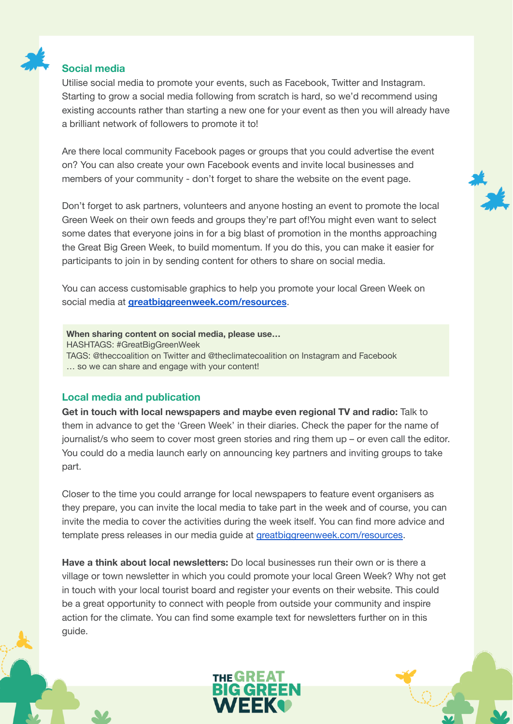

#### **Social media**

Utilise social media to promote your events, such as Facebook, Twitter and Instagram. Starting to grow a social media following from scratch is hard, so we'd recommend using existing accounts rather than starting a new one for your event as then you will already have a brilliant network of followers to promote it to!

Are there local community Facebook pages or groups that you could advertise the event on? You can also create your own Facebook events and invite local businesses and members of your community - don't forget to share the website on the event page.

Don't forget to ask partners, volunteers and anyone hosting an event to promote the local Green Week on their own feeds and groups they're part of!You might even want to select some dates that everyone joins in for a big blast of promotion in the months approaching the Great Big Green Week, to build momentum. If you do this, you can make it easier for participants to join in by sending content for others to share on social media.

You can access customisable graphics to help you promote your local Green Week on social media at **[greatbiggreenweek.com/resources](https://greatbiggreenweek.com/resources/)**.

**When sharing content on social media, please use…** HASHTAGS: #GreatBigGreenWeek TAGS: @theccoalition on Twitter and @theclimatecoalition on Instagram and Facebook … so we can share and engage with your content!

#### **Local media and publication**

**Get in touch with local newspapers and maybe even regional TV and radio:** Talk to them in advance to get the 'Green Week' in their diaries. Check the paper for the name of journalist/s who seem to cover most green stories and ring them up – or even call the editor. You could do a media launch early on announcing key partners and inviting groups to take part.

Closer to the time you could arrange for local newspapers to feature event organisers as they prepare, you can invite the local media to take part in the week and of course, you can invite the media to cover the activities during the week itself. You can find more advice and template press releases in our media guide at [greatbiggreenweek.com/resources](https://greatbiggreenweek.com/resources/).

**Have a think about local newsletters:** Do local businesses run their own or is there a village or town newsletter in which you could promote your local Green Week? Why not get in touch with your local tourist board and register your events on their website. This could be a great opportunity to connect with people from outside your community and inspire action for the climate. You can find some example text for newsletters further on in this guide.

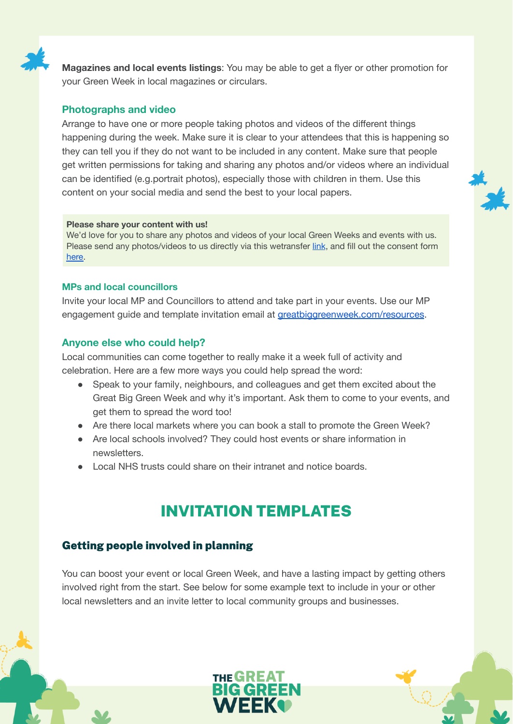

**Magazines and local events listings**: You may be able to get a flyer or other promotion for your Green Week in local magazines or circulars.

#### **Photographs and video**

Arrange to have one or more people taking photos and videos of the different things happening during the week. Make sure it is clear to your attendees that this is happening so they can tell you if they do not want to be included in any content. Make sure that people get written permissions for taking and sharing any photos and/or videos where an individual can be identified (e.g.portrait photos), especially those with children in them. Use this content on your social media and send the best to your local papers.

#### **Please share your content with us!**

We'd love for you to share any photos and videos of your local Green Weeks and events with us. Please send any photos/videos to us directly via this wetransfer [link](https://theclimatecoalition.wetransfer.com/), and fill out the consent form [here.](https://docs.google.com/forms/d/e/1FAIpQLSc9wRDSvx_FzJjByIEEGxbmlDU63xXg3IND4_V3UzXo7ebJzw/viewform?usp=sf_link)

#### **MPs and local councillors**

Invite your local MP and Councillors to attend and take part in your events. Use our MP engagement guide and template invitation email at *[greatbiggreenweek.com/resources](https://greatbiggreenweek.com/resources/).* 

#### **Anyone else who could help?**

Local communities can come together to really make it a week full of activity and celebration. Here are a few more ways you could help spread the word:

- Speak to your family, neighbours, and colleagues and get them excited about the Great Big Green Week and why it's important. Ask them to come to your events, and get them to spread the word too!
- Are there local markets where you can book a stall to promote the Green Week?
- Are local schools involved? They could host events or share information in newsletters.
- Local NHS trusts could share on their intranet and notice boards.

# INVITATION TEMPLATES

## <span id="page-2-0"></span>Getting people involved in planning

You can boost your event or local Green Week, and have a lasting impact by getting others involved right from the start. See below for some example text to include in your or other local newsletters and an invite letter to local community groups and businesses.

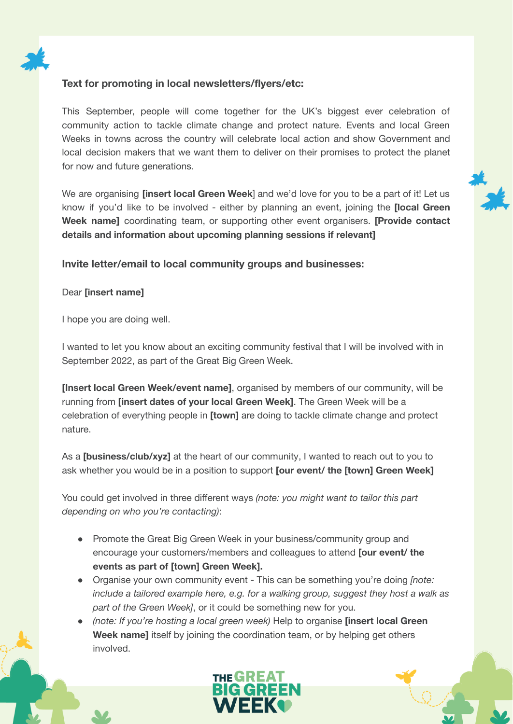

#### **Text for promoting in local newsletters/flyers/etc:**

This September, people will come together for the UK's biggest ever celebration of community action to tackle climate change and protect nature. Events and local Green Weeks in towns across the country will celebrate local action and show Government and local decision makers that we want them to deliver on their promises to protect the planet for now and future generations.

We are organising **[insert local Green Week**] and we'd love for you to be a part of it! Let us know if you'd like to be involved - either by planning an event, joining the **[local Green Week name]** coordinating team, or supporting other event organisers. **[Provide contact details and information about upcoming planning sessions if relevant]**

#### **Invite letter/email to local community groups and businesses:**

#### Dear **[insert name]**

I hope you are doing well.

I wanted to let you know about an exciting community festival that I will be involved with in September 2022, as part of the Great Big Green Week.

**[Insert local Green Week/event name]**, organised by members of our community, will be running from **[insert dates of your local Green Week]**. The Green Week will be a celebration of everything people in **[town]** are doing to tackle climate change and protect nature.

As a **[business/club/xyz]** at the heart of our community, I wanted to reach out to you to ask whether you would be in a position to support **[our event/ the [town] Green Week]**

You could get involved in three different ways *(note: you might want to tailor this part depending on who you're contacting)*:

- Promote the Great Big Green Week in your business/community group and encourage your customers/members and colleagues to attend **[our event/ the events as part of [town] Green Week].**
- Organise your own community event This can be something you're doing *[note: include a tailored example here, e.g. for a walking group, suggest they host a walk as part of the Green Week]*, or it could be something new for you.
- *(note: If you're hosting a local green week)* Help to organise **[insert local Green Week name]** itself by joining the coordination team, or by helping get others involved.